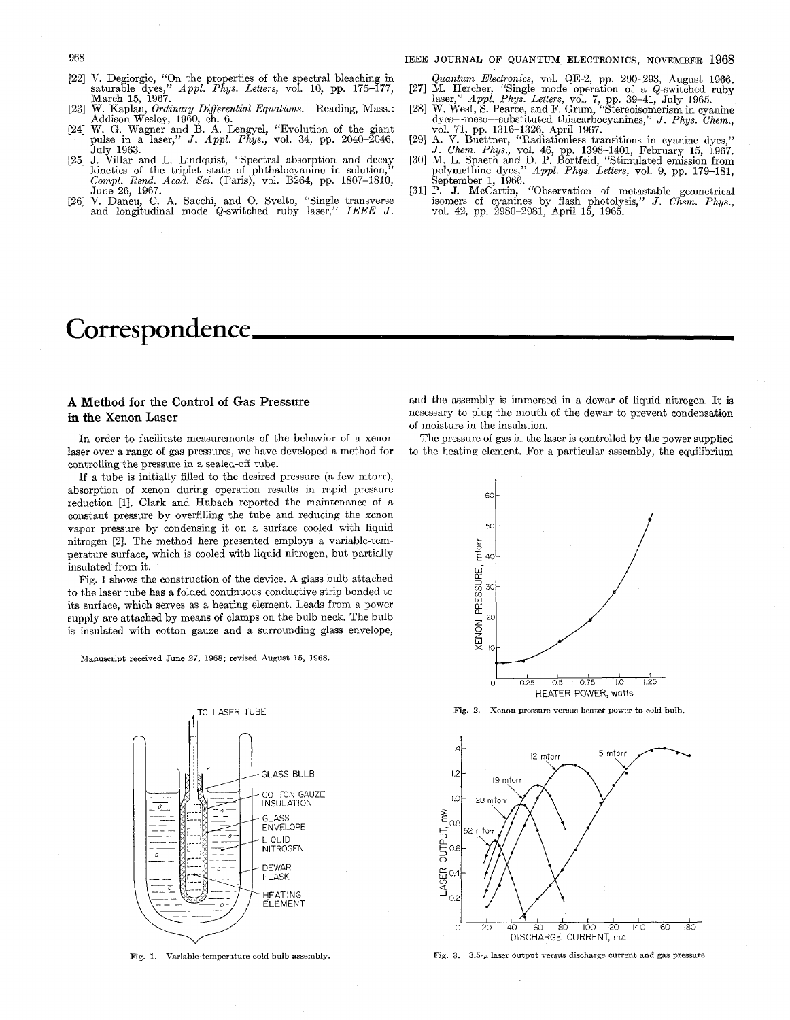## 968 IEEE JOURNAL OF QUANTUM ELECTRONICS, NOVEMBER **1968**

- V. Degiorgio, "On the properties of the spectral bleaching in saturable dyes," *Appl. Phys. Letters,* vol. 10, pp. 175-177, March 15, 1967.
- Addison-Wesley, 1960, ch. 6. W. Kaplan, *Ordinary Differential Equations.* Reading, Mass. :
- W. G. Wagner and B. A. Lengyel, "Evolution of the giant<br>pulse in a laser," J. Appl. Phys., vol. 34, pp. 2040–2046, July 1963.
- [25] J. Villar and L. Lindquist, "Spectral absorption and decay kinetics of the triplet state of phthalocyanine in solution," Compt. Rend. Acad. Sci. (Paris), vol. B264, pp. 1807–1810, June 26, 1967.
- V. Daneu, C. A. Sacchi, and 0. Svelto, "Single transverse and longitudinal mode &-switched ruby laser," *IEEE J.*   $[26]$

# Correspondence.

## **A** Method **for** the Control **of** Gas Pressure in the Xenon Laser

laser over a range of gas pressures, we have developed a method for controlling the pressure in a sealed-off tube.

If a tube is initially filled to the desired pressure (a few mtorr), absorption of xenon during operation results in rapid pressure reduction [l]. Clark and Hubach reported the maintenance of a constant pressure by overfilling the tube and reducing the xenon vapor pressure by condensing it on a surface cooled with liquid *<sup>50</sup>* nitrogen [2]. The method here presented employs a variable-temperature surface, which is cooled with liquid nitrogen, but partially insulated from it.

Fig. **1** shows the construction of the device. **A** glass bulb attached to the laser tube has a folded continuous conductive strip bonded to its surface, which serves as a heating element. Leads from a power supply are attached by means of clamps on the bulb neck. The bulb supply are attached by means of clamps on the bulb heck. The bulb<br>is insulated with cotton gauze and a surrounding glass envelope,<br> $\begin{array}{c}\n\sum_{\substack{X\\X}}\n\end{array}$ 

Manuscript received June 27, **1968;** revised August 15, 1968.



Fig. 1. Variable-temperature cold bulb assembly.

- [27] M. Hercher, "Single mode operatlon of a &-switched ruby *Quantum Electronics,* vol. &E-2, pp. 290-293, August 1966.
- laser," *Appl. Phys. Letters, vol.* 7, pp. 39–41, July 1965.<br>[28] W. West, S. Pearce, and F. Grum, "Stereoisomerism in cyanine dyes-meso-subst'ituted thiacarbocyanines," *J. Phys. Chem.,*
- vol. 71, pp. 1316-1326, April 1967. [291 **A.** V. Buettner, "Padiationless transitions in cyanine dyes,"
- *J. Chm. Phys.,* vol. 46, pp. 1395-1401, February 15, 1967. [30] M. **L.** Spaeth and D. P. Bortfeld, "Stimulated emission from polymethine dyes," *Appl. Phys. Letters,* vol. 9, pp. 179-181,
- September 1, 1966. The state of metastable geometrical isomers of cyanines by flash photolysis," *J. Chem. Phys.*, vol. 42, pp. 2980-2981, April 15, 1965.

and the assembly is immersed in a dewar of liquid nitrogen. It is nesessary to plug the mouth of the dewar to prevent condensation of moisture in the insulation.

In order to facilitate measurements of the behavior of a xenon The pressure of gas in the laser is controlled by the power supplied ser over a range of gas pressures, we have developed a method for to the heating element.



**Fig.** 2. Xenon pressure versus heater power to cold bulb.



**Fig. 3.** *3.5-p* laser output **versus** discharge current and gas pressure.